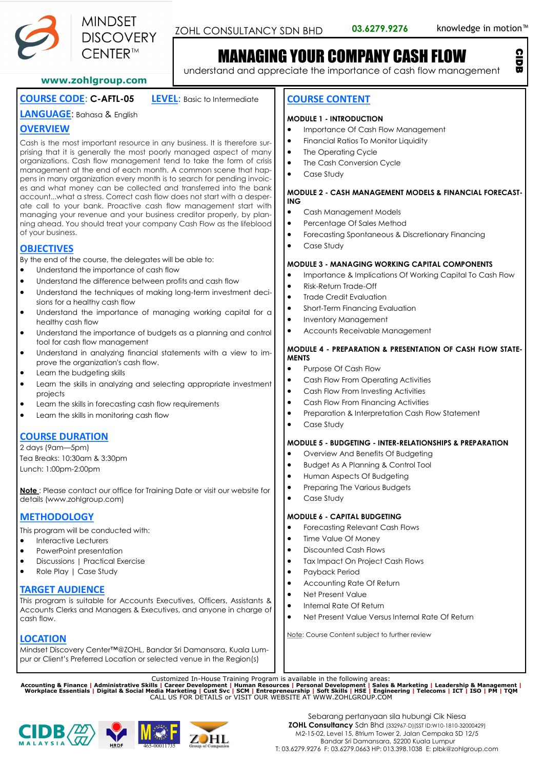

CIDB

# MANAGING YOUR COMPANY CASH FLOW

understand and appreciate the importance of cash flow management

### **www.zohlgroup.com**

# **COURSE CODE**: **C-AFTL-05 LEVEL**: Basic to Intermediate

**LANGUAGE**: Bahasa & English

# **OVERVIEW**

Cash is the most important resource in any business. It is therefore surprising that it is generally the most poorly managed aspect of many organizations. Cash flow management tend to take the form of crisis management at the end of each month. A common scene that happens in many organization every month is to search for pending invoices and what money can be collected and transferred into the bank account...what a stress. Correct cash flow does not start with a desperate call to your bank. Proactive cash flow management start with managing your revenue and your business creditor properly, by planning ahead. You should treat your company Cash Flow as the lifeblood of your business.

# **OBJECTIVES**

By the end of the course, the delegates will be able to:

- Understand the importance of cash flow
- Understand the difference between profits and cash flow
- Understand the techniques of making long-term investment decisions for a healthy cash flow
- Understand the importance of managing working capital for a healthy cash flow
- Understand the importance of budgets as a planning and control tool for cash flow management
- Understand in analyzing financial statements with a view to improve the organization's cash flow.
- Learn the budgeting skills
- Learn the skills in analyzing and selecting appropriate investment projects
- Learn the skills in forecasting cash flow requirements
- Learn the skills in monitoring cash flow

# **COURSE DURATION**

2 days (9am—5pm) Tea Breaks: 10:30am & 3:30pm Lunch: 1:00pm-2:00pm

**Note** : Please contact our office for Training Date or visit our website for details (www.zohlgroup.com)

# **METHODOLOGY**

This program will be conducted with:

- Interactive Lecturers
- PowerPoint presentation
- Discussions | Practical Exercise
- Role Play | Case Study

## **TARGET AUDIENCE**

This program is suitable for Accounts Executives, Officers, Assistants & Accounts Clerks and Managers & Executives, and anyone in charge of cash flow.

**LOCATION**

Mindset Discovery Center™@ZOHL, Bandar Sri Damansara, Kuala Lumpur or Client's Preferred Location or selected venue in the Region(s)

### **COURSE CONTENT**

#### **MODULE 1 - INTRODUCTION**

- Importance Of Cash Flow Management
- Financial Ratios To Monitor Liquidity
- The Operating Cycle
- The Cash Conversion Cycle
- Case Study

#### **MODULE 2 - CASH MANAGEMENT MODELS & FINANCIAL FORECAST-ING**

- Cash Management Models
- Percentage Of Sales Method
- Forecasting Spontaneous & Discretionary Financing
- Case Study

#### **MODULE 3 - MANAGING WORKING CAPITAL COMPONENTS**

- Importance & Implications Of Working Capital To Cash Flow
- Risk-Return Trade-Off
- **Trade Credit Evaluation**
- Short-Term Financing Evaluation
- Inventory Management
- Accounts Receivable Management

#### **MODULE 4 - PREPARATION & PRESENTATION OF CASH FLOW STATE-MENTS**

- Purpose Of Cash Flow
- Cash Flow From Operating Activities
- Cash Flow From Investing Activities
- Cash Flow From Financing Activities
- Preparation & Interpretation Cash Flow Statement
- Case Study

#### **MODULE 5 - BUDGETING - INTER-RELATIONSHIPS & PREPARATION**

- Overview And Benefits Of Budgeting
- Budget As A Planning & Control Tool
- Human Aspects Of Budgeting
- Preparing The Various Budgets
- Case Study

#### **MODULE 6 - CAPITAL BUDGETING**

- Forecasting Relevant Cash Flows
- Time Value Of Money
- Discounted Cash Flows
- Tax Impact On Project Cash Flows
- Payback Period
- Accounting Rate Of Return
- Net Present Value
- Internal Rate Of Return
- Net Present Value Versus Internal Rate Of Return

Note: Course Content subject to further review

Customized In-House Training Program is available in the following areas:<br>Accounting & Finance | Administrative Skills | Career Development | Human Resources | Personal Development | Sales & Marketing | Leadership & Manage